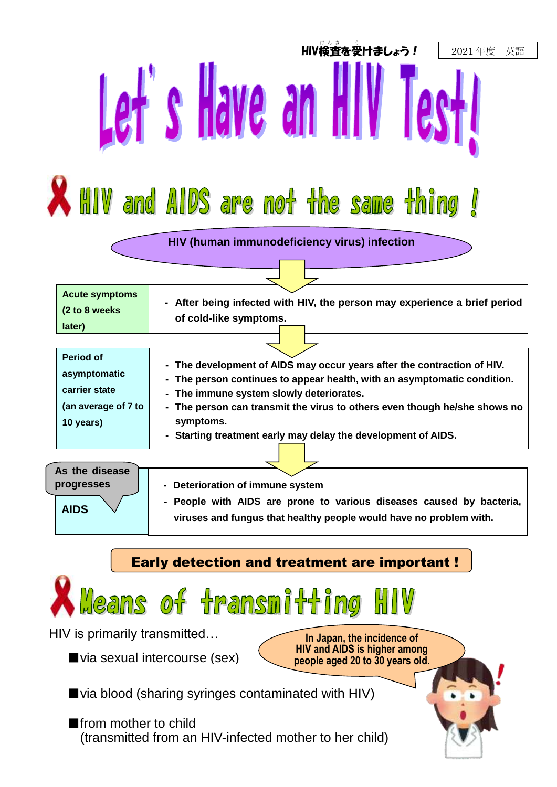